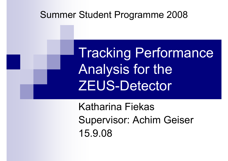#### Summer Student Programme 2008

Tracking Performance Analysis for the ZEUS-Detector

Katharina FiekasSupervisor: Achim Geiser 15.9.08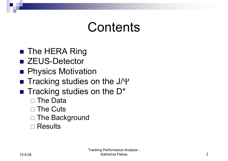## **Contents**

- The HERA Ring
- ZEUS-Detector
- **Physics Motivation**
- $\blacksquare$  Tracking studies on the J/ $\boldsymbol{\mathsf{Y}}$
- $\blacksquare$  Tracking studies on the D\*
	- $\Box$ The Data
	- □ The Cuts
	- □ The Background
	- □ Results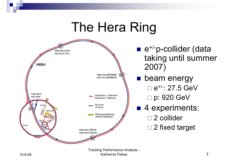#### The Hera Ring



 $\blacksquare$  e<sup>+/-</sup>p-collider (data taking until summer 2007)

**Deam energy**  <sup>e</sup>+/-: 27.5 GeV p: 920 GeV ■ 4 experiments: □ 2 collider □ 2 fixed target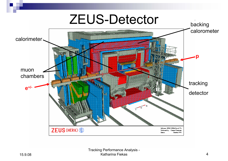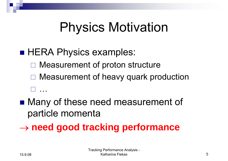# Physics Motivation

#### ■ HERA Physics examples:

- □ Measurement of proton structure
- □ Measurement of heavy quark production …
- ■ Many of these need measurement of particle momenta
- → **need good tracking performance**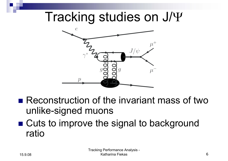### Tracking studies on  $J/\Psi$



- Reconstruction of the invariant mass of two unlike-signed muons
- ■ Cuts to improve the signal to background ratio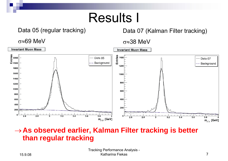### Results I

#### Data 05 (regular tracking)

#### Data 07 (Kalman Filter tracking)

σ≈69 MeV

#### σ≈38 MeV



#### <sup>→</sup>**As observed earlier, Kalman Filter tracking is better than regular tracking**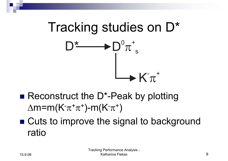

- Reconstruct the D\*-Peak by plotting  $\Delta m$ =m(K<sup>-</sup> $\pi$ <sup>+</sup> $\pi$ <sup>+</sup>)-m(K<sup>-</sup> $\pi$ <sup>+</sup>)
- Cuts to improve the signal to background ratio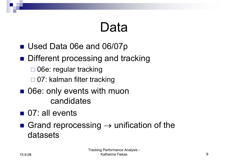# Data

- Used Data 06e and 06/07p
- **Different processing and tracking** 
	- □ 06e: regular tracking
	- □ 07: kalman filter tracking
- 06e: only events with muon candidates
- 07: all events
- Grand reprocessing  $\rightarrow$  unification of the datasets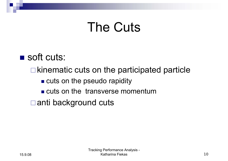# The Cuts

#### ■ soft cuts:

 $\Box$  kinematic cuts on the participated particle

- **Example 20 rapidity** cuts on the pseudo rapidity
- **Example 10 cuts on the transverse momentum**

anti background cuts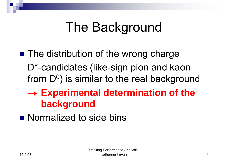# The Background

- ■ The distribution of the wrong charge D\*-candidates (like-sign pion and kaon from  $D<sup>0</sup>$ ) is similar to the real background
	- → **Experimental determination of the background**
- **Normalized to side bins**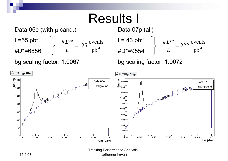### Results I

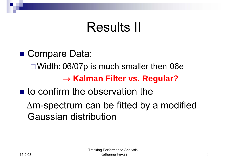## Results II

■ Compare Data: □ Width: 06/07p is much smaller then 06e → **Kalman Filter vs. Regular?**  $\blacksquare$  to confirm the observation the

∆m-spectrum can be fitted by a modified Gaussian distribution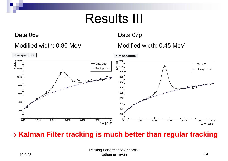## Results III

Data 06e

Data 07p

#### Modified width: 0.80 MeV

Modified width: 0.45 MeV



#### → **Kalman Filter tracking is much better than regular tracking**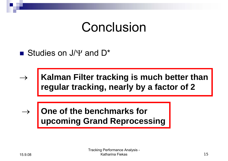### Conclusion

 $\mathcal{L}(\mathcal{L})$ ■ Studies on J/ $\Psi$  and D<sup>\*</sup>

 $\rightarrow$  **Exalman Filter tracking is much better than regular tracking, nearly by a factor of 2**

 $\rightarrow$  $\rightarrow$  **One of the benchmarks for upcoming Grand Reprocessing**

 $\rightarrow$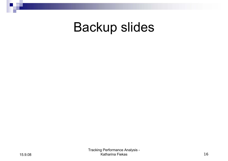#### Backup slides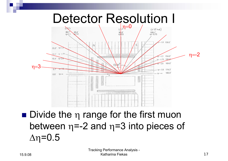

■ Divide the η range for the first muon between  $\eta = -2$  and  $\eta = 3$  into pieces of  $Δη=0.5$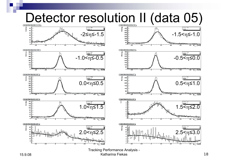

Katharina Fiekas **18**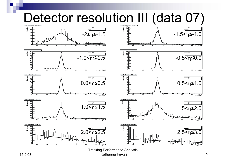